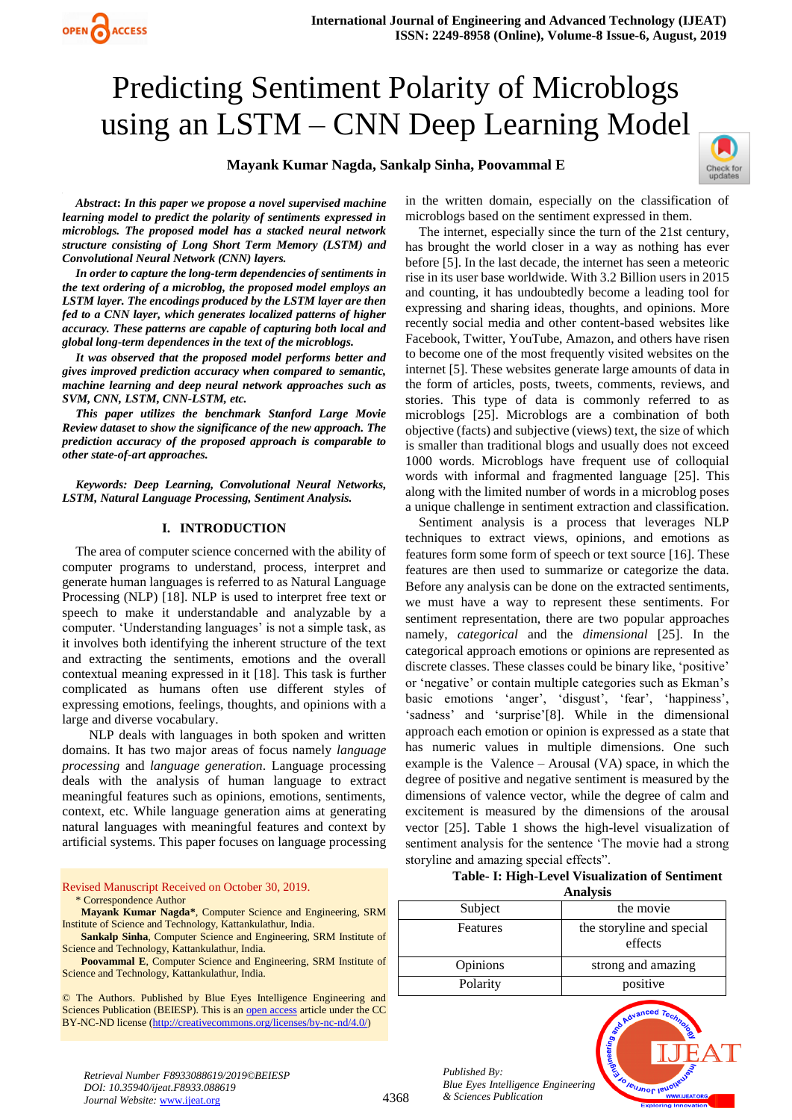# Predicting Sentiment Polarity of Microblogs using an LSTM – CNN Deep Learning Model

## **Mayank Kumar Nagda, Sankalp Sinha, Poovammal E**



*Abstract***:** *In this paper we propose a novel supervised machine learning model to predict the polarity of sentiments expressed in microblogs. The proposed model has a stacked neural network structure consisting of Long Short Term Memory (LSTM) and Convolutional Neural Network (CNN) layers.*

**OPEN CACCESS** 

*In order to capture the long-term dependencies of sentiments in the text ordering of a microblog, the proposed model employs an LSTM layer. The encodings produced by the LSTM layer are then fed to a CNN layer, which generates localized patterns of higher accuracy. These patterns are capable of capturing both local and global long-term dependences in the text of the microblogs.*

*It was observed that the proposed model performs better and gives improved prediction accuracy when compared to semantic, machine learning and deep neural network approaches such as SVM, CNN, LSTM, CNN-LSTM, etc.*

*This paper utilizes the benchmark Stanford Large Movie Review dataset to show the significance of the new approach. The prediction accuracy of the proposed approach is comparable to other state-of-art approaches.*

*Keywords: Deep Learning, Convolutional Neural Networks, LSTM, Natural Language Processing, Sentiment Analysis.*

#### **I. INTRODUCTION**

The area of computer science concerned with the ability of computer programs to understand, process, interpret and generate human languages is referred to as Natural Language Processing (NLP) [18]. NLP is used to interpret free text or speech to make it understandable and analyzable by a computer. 'Understanding languages' is not a simple task, as it involves both identifying the inherent structure of the text and extracting the sentiments, emotions and the overall contextual meaning expressed in it [18]. This task is further complicated as humans often use different styles of expressing emotions, feelings, thoughts, and opinions with a large and diverse vocabulary.

NLP deals with languages in both spoken and written domains. It has two major areas of focus namely *language processing* and *language generation*. Language processing deals with the analysis of human language to extract meaningful features such as opinions, emotions, sentiments, context, etc. While language generation aims at generating natural languages with meaningful features and context by artificial systems. This paper focuses on language processing

Revised Manuscript Received on October 30, 2019. \* Correspondence Author

**Mayank Kumar Nagda\***, Computer Science and Engineering, SRM Institute of Science and Technology, Kattankulathur, India.

**Sankalp Sinha**, Computer Science and Engineering, SRM Institute of Science and Technology, Kattankulathur, India.

**Poovammal E**, Computer Science and Engineering, SRM Institute of Science and Technology, Kattankulathur, India.

© The Authors. Published by Blue Eyes Intelligence Engineering and Sciences Publication (BEIESP). This is a[n open access](https://www.openaccess.nl/en/open-publications) article under the CC BY-NC-ND license [\(http://creativecommons.org/licenses/by-nc-nd/4.0/\)](http://creativecommons.org/licenses/by-nc-nd/4.0/)

in the written domain, especially on the classification of microblogs based on the sentiment expressed in them.

The internet, especially since the turn of the 21st century, has brought the world closer in a way as nothing has ever before [5]. In the last decade, the internet has seen a meteoric rise in its user base worldwide. With 3.2 Billion users in 2015 and counting, it has undoubtedly become a leading tool for expressing and sharing ideas, thoughts, and opinions. More recently social media and other content-based websites like Facebook, Twitter, YouTube, Amazon, and others have risen to become one of the most frequently visited websites on the internet [5]. These websites generate large amounts of data in the form of articles, posts, tweets, comments, reviews, and stories. This type of data is commonly referred to as microblogs [25]. Microblogs are a combination of both objective (facts) and subjective (views) text, the size of which is smaller than traditional blogs and usually does not exceed 1000 words. Microblogs have frequent use of colloquial words with informal and fragmented language [25]. This along with the limited number of words in a microblog poses a unique challenge in sentiment extraction and classification.

Sentiment analysis is a process that leverages NLP techniques to extract views, opinions, and emotions as features form some form of speech or text source [16]. These features are then used to summarize or categorize the data. Before any analysis can be done on the extracted sentiments, we must have a way to represent these sentiments. For sentiment representation, there are two popular approaches namely, *categorical* and the *dimensional* [25]. In the categorical approach emotions or opinions are represented as discrete classes. These classes could be binary like, 'positive' or 'negative' or contain multiple categories such as Ekman's basic emotions 'anger', 'disgust', 'fear', 'happiness', 'sadness' and 'surprise'[8]. While in the dimensional approach each emotion or opinion is expressed as a state that has numeric values in multiple dimensions. One such example is the Valence – Arousal (VA) space, in which the degree of positive and negative sentiment is measured by the dimensions of valence vector, while the degree of calm and excitement is measured by the dimensions of the arousal vector [25]. Table 1 shows the high-level visualization of sentiment analysis for the sentence 'The movie had a strong storyline and amazing special effects".

## **Table- I: High-Level Visualization of Sentiment**

| Analysis |  |
|----------|--|
|          |  |

| Subject  | the movie                            |  |  |  |
|----------|--------------------------------------|--|--|--|
| Features | the storyline and special<br>effects |  |  |  |
| Opinions | strong and amazing                   |  |  |  |
| Polarity | positive                             |  |  |  |

*Published By: Blue Eyes Intelligence Engineering & Sciences Publication* 



*Retrieval Number F8933088619/2019©BEIESP DOI: 10.35940/ijeat.F8933.088619 Journal Website:* www.ijeat.org

## 4368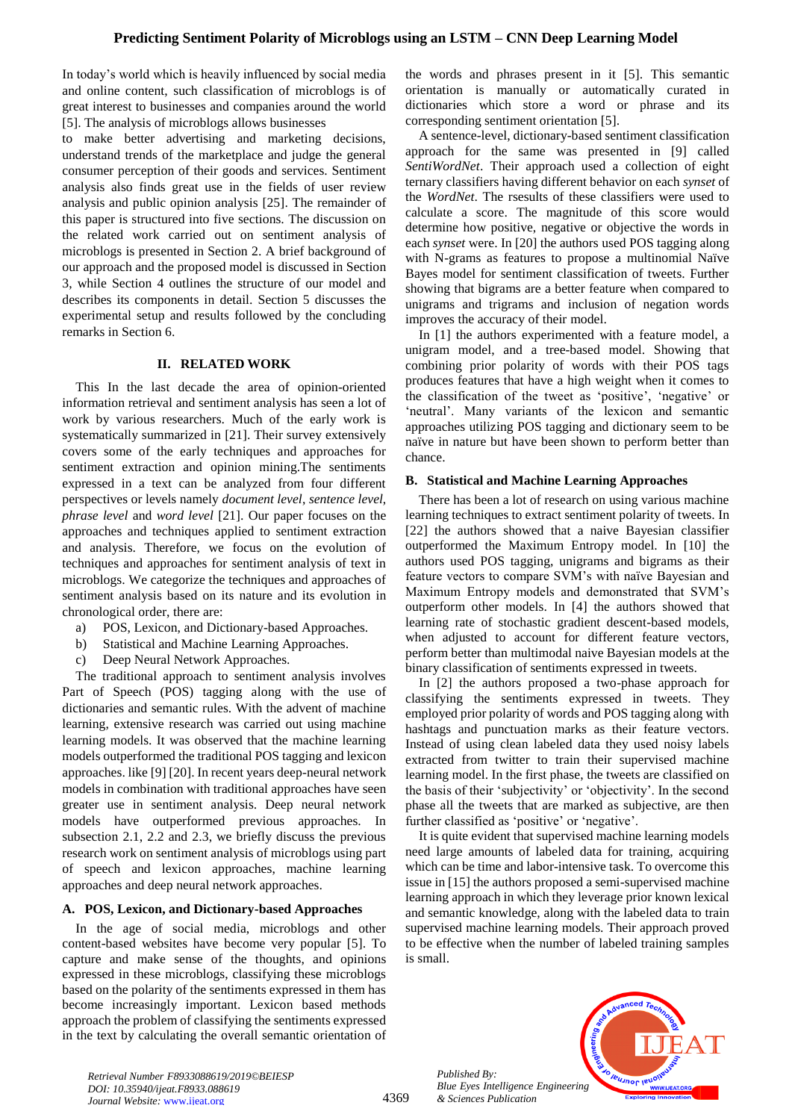In today's world which is heavily influenced by social media and online content, such classification of microblogs is of great interest to businesses and companies around the world [5]. The analysis of microblogs allows businesses

to make better advertising and marketing decisions, understand trends of the marketplace and judge the general consumer perception of their goods and services. Sentiment analysis also finds great use in the fields of user review analysis and public opinion analysis [25]. The remainder of this paper is structured into five sections. The discussion on the related work carried out on sentiment analysis of microblogs is presented in Section 2. A brief background of our approach and the proposed model is discussed in Section 3, while Section 4 outlines the structure of our model and describes its components in detail. Section 5 discusses the experimental setup and results followed by the concluding remarks in Section 6.

## **II. RELATED WORK**

This In the last decade the area of opinion-oriented information retrieval and sentiment analysis has seen a lot of work by various researchers. Much of the early work is systematically summarized in [21]. Their survey extensively covers some of the early techniques and approaches for sentiment extraction and opinion mining.The sentiments expressed in a text can be analyzed from four different perspectives or levels namely *document level*, *sentence level*, *phrase level* and *word level* [21]. Our paper focuses on the approaches and techniques applied to sentiment extraction and analysis. Therefore, we focus on the evolution of techniques and approaches for sentiment analysis of text in microblogs. We categorize the techniques and approaches of sentiment analysis based on its nature and its evolution in chronological order, there are:

- a) POS, Lexicon, and Dictionary-based Approaches.
- b) Statistical and Machine Learning Approaches.
- c) Deep Neural Network Approaches.

The traditional approach to sentiment analysis involves Part of Speech (POS) tagging along with the use of dictionaries and semantic rules. With the advent of machine learning, extensive research was carried out using machine learning models. It was observed that the machine learning models outperformed the traditional POS tagging and lexicon approaches. like [9] [20]. In recent years deep-neural network models in combination with traditional approaches have seen greater use in sentiment analysis. Deep neural network models have outperformed previous approaches. In subsection 2.1, 2.2 and 2.3, we briefly discuss the previous research work on sentiment analysis of microblogs using part of speech and lexicon approaches, machine learning approaches and deep neural network approaches.

## **A. POS, Lexicon, and Dictionary-based Approaches**

In the age of social media, microblogs and other content-based websites have become very popular [5]. To capture and make sense of the thoughts, and opinions expressed in these microblogs, classifying these microblogs based on the polarity of the sentiments expressed in them has become increasingly important. Lexicon based methods approach the problem of classifying the sentiments expressed in the text by calculating the overall semantic orientation of

the words and phrases present in it [5]. This semantic orientation is manually or automatically curated in dictionaries which store a word or phrase and its corresponding sentiment orientation [5].

A sentence-level, dictionary-based sentiment classification approach for the same was presented in [9] called *SentiWordNet*. Their approach used a collection of eight ternary classifiers having different behavior on each *synset* of the *WordNet*. The rsesults of these classifiers were used to calculate a score. The magnitude of this score would determine how positive, negative or objective the words in each *synset* were. In [20] the authors used POS tagging along with N-grams as features to propose a multinomial Naïve Bayes model for sentiment classification of tweets. Further showing that bigrams are a better feature when compared to unigrams and trigrams and inclusion of negation words improves the accuracy of their model.

In [1] the authors experimented with a feature model, a unigram model, and a tree-based model. Showing that combining prior polarity of words with their POS tags produces features that have a high weight when it comes to the classification of the tweet as 'positive', 'negative' or 'neutral'. Many variants of the lexicon and semantic approaches utilizing POS tagging and dictionary seem to be naïve in nature but have been shown to perform better than chance.

## **B. Statistical and Machine Learning Approaches**

There has been a lot of research on using various machine learning techniques to extract sentiment polarity of tweets. In [22] the authors showed that a naive Bayesian classifier outperformed the Maximum Entropy model. In [10] the authors used POS tagging, unigrams and bigrams as their feature vectors to compare SVM's with naïve Bayesian and Maximum Entropy models and demonstrated that SVM's outperform other models. In [4] the authors showed that learning rate of stochastic gradient descent-based models, when adjusted to account for different feature vectors, perform better than multimodal naive Bayesian models at the binary classification of sentiments expressed in tweets.

In [2] the authors proposed a two-phase approach for classifying the sentiments expressed in tweets. They employed prior polarity of words and POS tagging along with hashtags and punctuation marks as their feature vectors. Instead of using clean labeled data they used noisy labels extracted from twitter to train their supervised machine learning model. In the first phase, the tweets are classified on the basis of their 'subjectivity' or 'objectivity'. In the second phase all the tweets that are marked as subjective, are then further classified as 'positive' or 'negative'.

It is quite evident that supervised machine learning models need large amounts of labeled data for training, acquiring which can be time and labor-intensive task. To overcome this issue in [15] the authors proposed a semi-supervised machine learning approach in which they leverage prior known lexical and semantic knowledge, along with the labeled data to train supervised machine learning models. Their approach proved to be effective when the number of labeled training samples is small.



*Retrieval Number F8933088619/2019©BEIESP DOI: 10.35940/ijeat.F8933.088619 Journal Website:* www.ijeat.org

*Published By:*

*& Sciences Publication*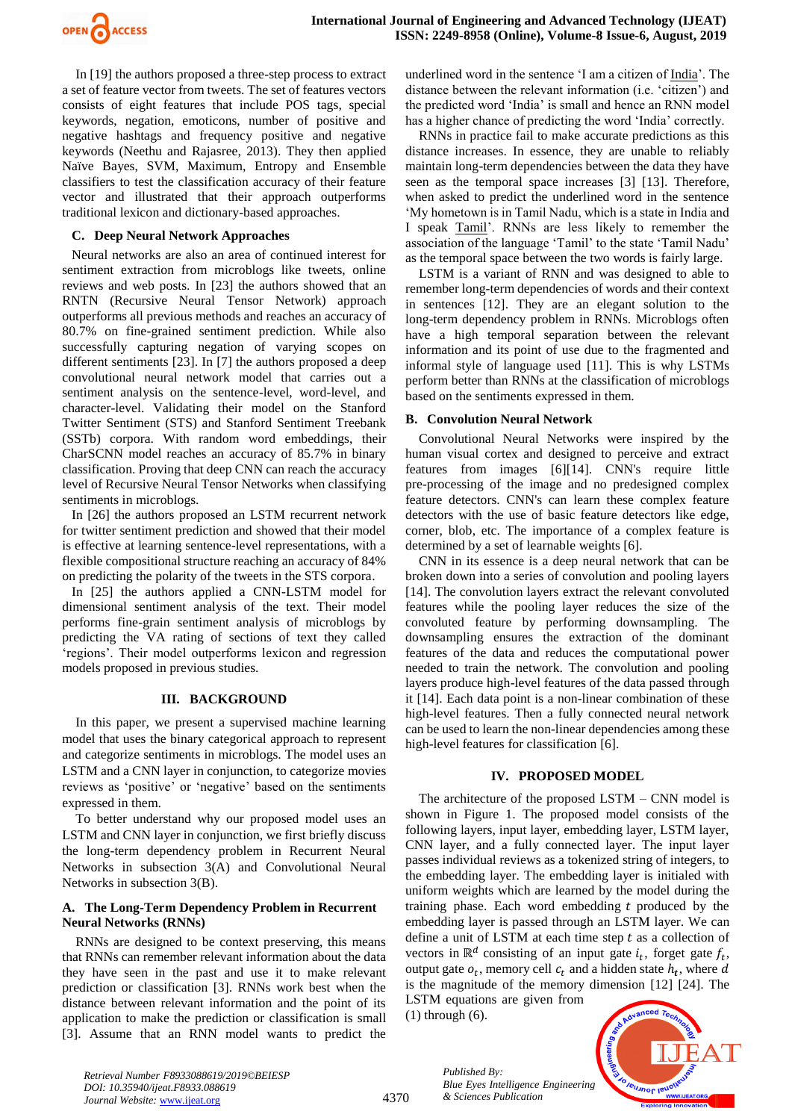

In [19] the authors proposed a three-step process to extract a set of feature vector from tweets. The set of features vectors consists of eight features that include POS tags, special keywords, negation, emoticons, number of positive and negative hashtags and frequency positive and negative keywords (Neethu and Rajasree, 2013). They then applied Naïve Bayes, SVM, Maximum, Entropy and Ensemble classifiers to test the classification accuracy of their feature vector and illustrated that their approach outperforms traditional lexicon and dictionary-based approaches.

#### **C. Deep Neural Network Approaches**

Neural networks are also an area of continued interest for sentiment extraction from microblogs like tweets, online reviews and web posts. In [23] the authors showed that an RNTN (Recursive Neural Tensor Network) approach outperforms all previous methods and reaches an accuracy of 80.7% on fine-grained sentiment prediction. While also successfully capturing negation of varying scopes on different sentiments [23]. In [7] the authors proposed a deep convolutional neural network model that carries out a sentiment analysis on the sentence-level, word-level, and character-level. Validating their model on the Stanford Twitter Sentiment (STS) and Stanford Sentiment Treebank (SSTb) corpora. With random word embeddings, their CharSCNN model reaches an accuracy of 85.7% in binary classification. Proving that deep CNN can reach the accuracy level of Recursive Neural Tensor Networks when classifying sentiments in microblogs.

In [26] the authors proposed an LSTM recurrent network for twitter sentiment prediction and showed that their model is effective at learning sentence-level representations, with a flexible compositional structure reaching an accuracy of 84% on predicting the polarity of the tweets in the STS corpora.

In [25] the authors applied a CNN-LSTM model for dimensional sentiment analysis of the text. Their model performs fine-grain sentiment analysis of microblogs by predicting the VA rating of sections of text they called 'regions'. Their model outperforms lexicon and regression models proposed in previous studies.

## **III. BACKGROUND**

In this paper, we present a supervised machine learning model that uses the binary categorical approach to represent and categorize sentiments in microblogs. The model uses an LSTM and a CNN layer in conjunction, to categorize movies reviews as 'positive' or 'negative' based on the sentiments expressed in them.

To better understand why our proposed model uses an LSTM and CNN layer in conjunction, we first briefly discuss the long-term dependency problem in Recurrent Neural Networks in subsection 3(A) and Convolutional Neural Networks in subsection 3(B).

#### **A. The Long-Term Dependency Problem in Recurrent Neural Networks (RNNs)**

RNNs are designed to be context preserving, this means that RNNs can remember relevant information about the data they have seen in the past and use it to make relevant prediction or classification [3]. RNNs work best when the distance between relevant information and the point of its application to make the prediction or classification is small [3]. Assume that an RNN model wants to predict the

underlined word in the sentence 'I am a citizen of India'. The distance between the relevant information (i.e. 'citizen') and the predicted word 'India' is small and hence an RNN model has a higher chance of predicting the word 'India' correctly.

RNNs in practice fail to make accurate predictions as this distance increases. In essence, they are unable to reliably maintain long-term dependencies between the data they have seen as the temporal space increases [3] [13]. Therefore, when asked to predict the underlined word in the sentence 'My hometown is in Tamil Nadu, which is a state in India and I speak Tamil'. RNNs are less likely to remember the association of the language 'Tamil' to the state 'Tamil Nadu' as the temporal space between the two words is fairly large.

LSTM is a variant of RNN and was designed to able to remember long-term dependencies of words and their context in sentences [12]. They are an elegant solution to the long-term dependency problem in RNNs. Microblogs often have a high temporal separation between the relevant information and its point of use due to the fragmented and informal style of language used [11]. This is why LSTMs perform better than RNNs at the classification of microblogs based on the sentiments expressed in them.

#### **B. Convolution Neural Network**

Convolutional Neural Networks were inspired by the human visual cortex and designed to perceive and extract features from images [6][14]. CNN's require little pre-processing of the image and no predesigned complex feature detectors. CNN's can learn these complex feature detectors with the use of basic feature detectors like edge, corner, blob, etc. The importance of a complex feature is determined by a set of learnable weights [6].

CNN in its essence is a deep neural network that can be broken down into a series of convolution and pooling layers [14]. The convolution layers extract the relevant convoluted features while the pooling layer reduces the size of the convoluted feature by performing downsampling. The downsampling ensures the extraction of the dominant features of the data and reduces the computational power needed to train the network. The convolution and pooling layers produce high-level features of the data passed through it [14]. Each data point is a non-linear combination of these high-level features. Then a fully connected neural network can be used to learn the non-linear dependencies among these high-level features for classification [6].

#### **IV. PROPOSED MODEL**

The architecture of the proposed  $LSTM - CNN$  model is shown in Figure 1. The proposed model consists of the following layers, input layer, embedding layer, LSTM layer, CNN layer, and a fully connected layer. The input layer passes individual reviews as a tokenized string of integers, to the embedding layer. The embedding layer is initialed with uniform weights which are learned by the model during the training phase. Each word embedding  $t$  produced by the embedding layer is passed through an LSTM layer. We can define a unit of LSTM at each time step  $t$  as a collection of vectors in  $\mathbb{R}^d$  consisting of an input gate  $i_t$ , forget gate  $f_t$ , output gate  $o_t$ , memory cell  $c_t$  and a hidden state  $h_t$ , where d is the magnitude of the memory dimension [12] [24]. The LSTM equations are given from

(1) through (6).

*& Sciences Publication* 

*Published By:*

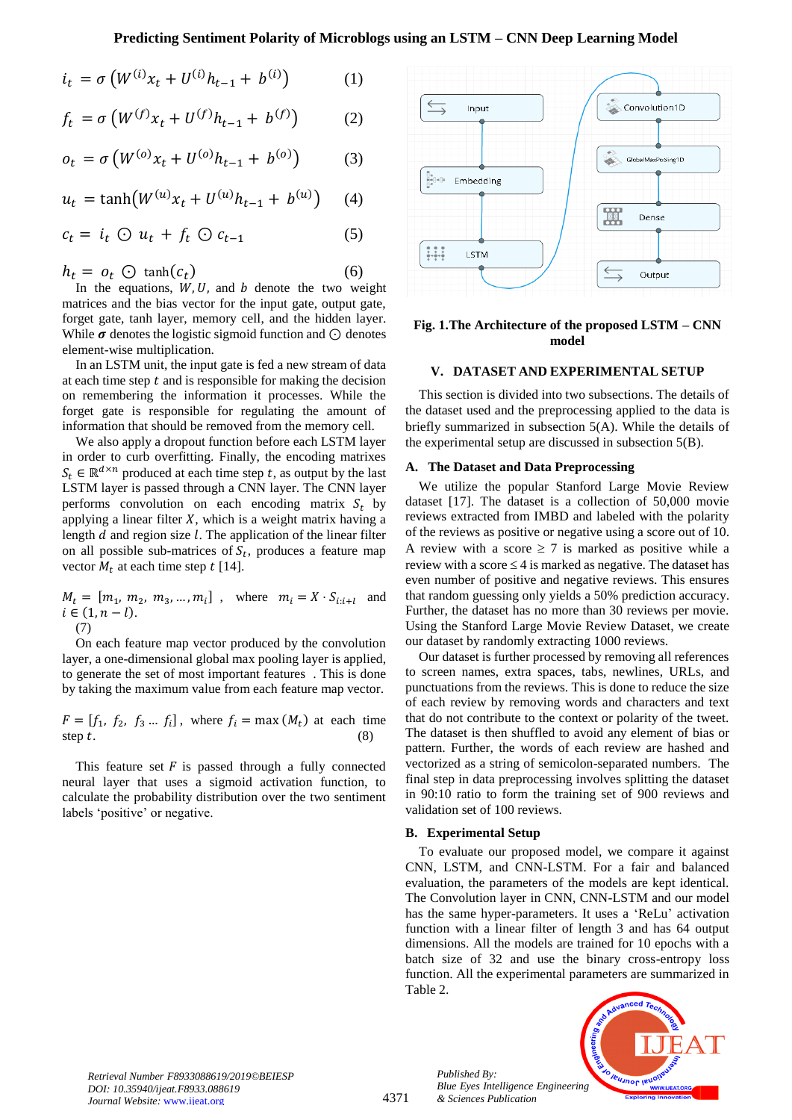$$
i_t = \sigma \left( W^{(i)} x_t + U^{(i)} h_{t-1} + b^{(i)} \right) \tag{1}
$$

$$
f_t = \sigma \left( W^{(f)} x_t + U^{(f)} h_{t-1} + b^{(f)} \right) \tag{2}
$$

$$
o_t = \sigma \left( W^{(o)} x_t + U^{(o)} h_{t-1} + b^{(o)} \right) \tag{3}
$$

$$
u_t = \tanh(W^{(u)}x_t + U^{(u)}h_{t-1} + b^{(u)}) \quad (4)
$$

$$
c_t = i_t \odot u_t + f_t \odot c_{t-1} \tag{5}
$$

$$
h_t = o_t \oplus \tanh(c_t) \tag{6}
$$
  
In the equations W, U, and h denote the two, we

In the equations,  $W, U$ , and  $b$  denote the two weight matrices and the bias vector for the input gate, output gate, forget gate, tanh layer, memory cell, and the hidden layer. While  $\sigma$  denotes the logistic sigmoid function and  $\odot$  denotes element-wise multiplication.

In an LSTM unit, the input gate is fed a new stream of data at each time step  $t$  and is responsible for making the decision on remembering the information it processes. While the forget gate is responsible for regulating the amount of information that should be removed from the memory cell.

We also apply a dropout function before each LSTM layer in order to curb overfitting. Finally, the encoding matrixes  $S_t \in \mathbb{R}^{d \times n}$  produced at each time step t, as output by the last LSTM layer is passed through a CNN layer. The CNN layer performs convolution on each encoding matrix  $S_t$  by applying a linear filter  $X$ , which is a weight matrix having a length  $d$  and region size  $l$ . The application of the linear filter on all possible sub-matrices of  $S_t$ , produces a feature map vector  $M_t$  at each time step t [14].

 $M_t = [m_1, m_2, m_3, ..., m_i]$ , where  $m_i = X \cdot S_{i:i+1}$  and  $i \in (1, n - l).$ (7)

On each feature map vector produced by the convolution layer, a one-dimensional global max pooling layer is applied, to generate the set of most important features . This is done by taking the maximum value from each feature map vector.

 $F = [f_1, f_2, f_3, \dots, f_i]$ , where  $f_i = \max(M_t)$  at each time step  $t$ . (8)

This feature set  $F$  is passed through a fully connected neural layer that uses a sigmoid activation function, to calculate the probability distribution over the two sentiment labels 'positive' or negative.



**Fig. 1.The Architecture of the proposed LSTM – CNN model**

## **V. DATASET AND EXPERIMENTAL SETUP**

This section is divided into two subsections. The details of the dataset used and the preprocessing applied to the data is briefly summarized in subsection 5(A). While the details of the experimental setup are discussed in subsection 5(B).

#### **A. The Dataset and Data Preprocessing**

We utilize the popular Stanford Large Movie Review dataset [17]. The dataset is a collection of 50,000 movie reviews extracted from IMBD and labeled with the polarity of the reviews as positive or negative using a score out of 10. A review with a score  $\geq 7$  is marked as positive while a review with a score  $\leq$  4 is marked as negative. The dataset has even number of positive and negative reviews. This ensures that random guessing only yields a 50% prediction accuracy. Further, the dataset has no more than 30 reviews per movie. Using the Stanford Large Movie Review Dataset, we create our dataset by randomly extracting 1000 reviews.

Our dataset is further processed by removing all references to screen names, extra spaces, tabs, newlines, URLs, and punctuations from the reviews. This is done to reduce the size of each review by removing words and characters and text that do not contribute to the context or polarity of the tweet. The dataset is then shuffled to avoid any element of bias or pattern. Further, the words of each review are hashed and vectorized as a string of semicolon-separated numbers. The final step in data preprocessing involves splitting the dataset in 90:10 ratio to form the training set of 900 reviews and validation set of 100 reviews.

## **B. Experimental Setup**

*Published By:*

*& Sciences Publication* 

To evaluate our proposed model, we compare it against CNN, LSTM, and CNN-LSTM. For a fair and balanced evaluation, the parameters of the models are kept identical. The Convolution layer in CNN, CNN-LSTM and our model has the same hyper-parameters. It uses a 'ReLu' activation function with a linear filter of length 3 and has 64 output dimensions. All the models are trained for 10 epochs with a batch size of 32 and use the binary cross-entropy loss function. All the experimental parameters are summarized in Table 2.



*Retrieval Number F8933088619/2019©BEIESP DOI: 10.35940/ijeat.F8933.088619 Journal Website:* www.ijeat.org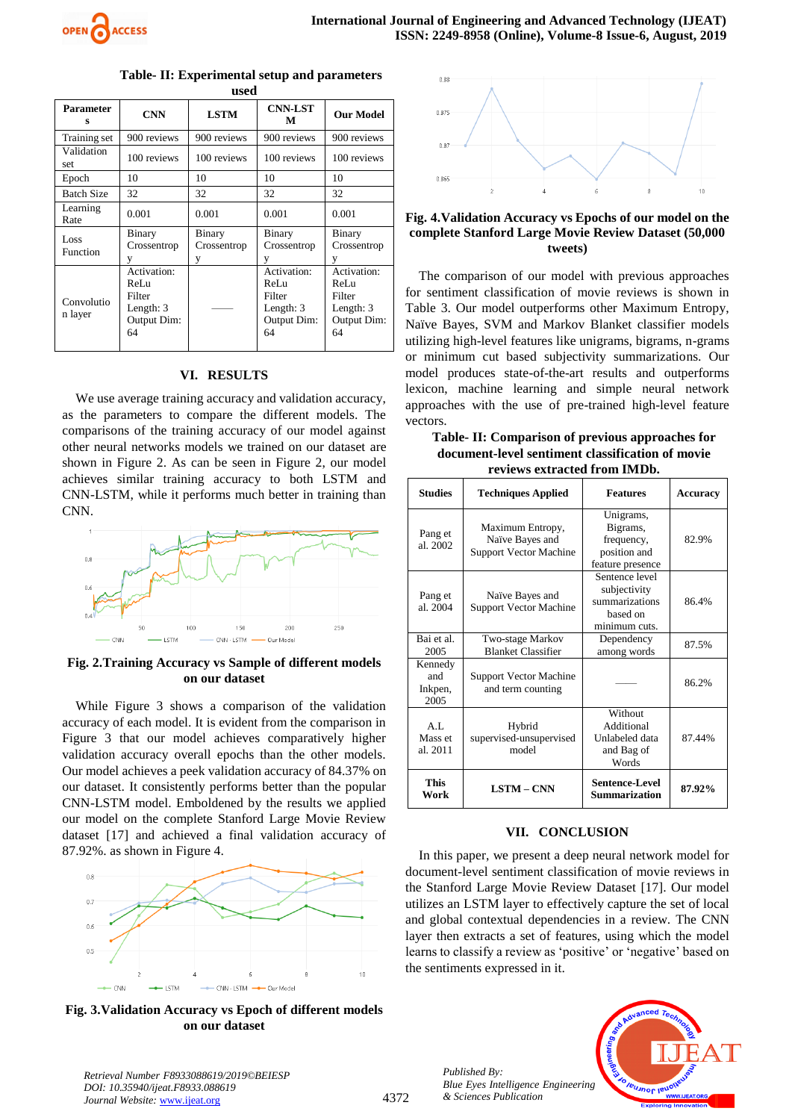

| <b>Parameter</b><br>s | <b>CNN</b>                                                      | <b>LSTM</b>                | <b>CNN-LST</b><br>М                                             | <b>Our Model</b>                                                  |
|-----------------------|-----------------------------------------------------------------|----------------------------|-----------------------------------------------------------------|-------------------------------------------------------------------|
| Training set          | 900 reviews                                                     | 900 reviews                | 900 reviews                                                     | 900 reviews                                                       |
| Validation<br>set     | 100 reviews                                                     | 100 reviews                | 100 reviews                                                     | 100 reviews                                                       |
| Epoch                 | 10                                                              | 10                         | 10                                                              | 10                                                                |
| <b>Batch Size</b>     | 32                                                              | 32                         | 32                                                              | 32                                                                |
| Learning<br>Rate      | 0.001                                                           | 0.001                      | 0.001                                                           | 0.001                                                             |
| Loss<br>Function      | Binary<br>Crossentrop                                           | Binary<br>Crossentrop<br>V | Binary<br>Crossentrop                                           | Binary<br>Crossentrop<br>v                                        |
| Convolutio<br>n layer | Activation:<br>ReLu<br>Filter<br>Length: 3<br>Output Dim:<br>64 |                            | Activation:<br>ReLu<br>Filter<br>Length: 3<br>Output Dim:<br>64 | Activation:<br>ReLu<br>Filter<br>Length: $3$<br>Output Dim:<br>64 |

#### **Table- II: Experimental setup and parameters used**

#### **VI. RESULTS**

We use average training accuracy and validation accuracy, as the parameters to compare the different models. The comparisons of the training accuracy of our model against other neural networks models we trained on our dataset are shown in Figure 2. As can be seen in Figure 2, our model achieves similar training accuracy to both LSTM and CNN-LSTM, while it performs much better in training than CNN.



## **Fig. 2.Training Accuracy vs Sample of different models on our dataset**

While Figure 3 shows a comparison of the validation accuracy of each model. It is evident from the comparison in Figure 3 that our model achieves comparatively higher validation accuracy overall epochs than the other models. Our model achieves a peek validation accuracy of 84.37% on our dataset. It consistently performs better than the popular CNN-LSTM model. Emboldened by the results we applied our model on the complete Stanford Large Movie Review dataset [17] and achieved a final validation accuracy of 87.92%. as shown in Figure 4.



**Fig. 3.Validation Accuracy vs Epoch of different models on our dataset**



## **Fig. 4.Validation Accuracy vs Epochs of our model on the complete Stanford Large Movie Review Dataset (50,000 tweets)**

The comparison of our model with previous approaches for sentiment classification of movie reviews is shown in Table 3. Our model outperforms other Maximum Entropy, Naïve Bayes, SVM and Markov Blanket classifier models utilizing high-level features like unigrams, bigrams, n-grams or minimum cut based subjectivity summarizations. Our model produces state-of-the-art results and outperforms lexicon, machine learning and simple neural network approaches with the use of pre-trained high-level feature vectors.

**Table- II: Comparison of previous approaches for document-level sentiment classification of movie reviews extracted from IMDb.**

| <b>Studies</b>                    | <b>Techniques Applied</b>                                            | <b>Features</b>                                                               | <b>Accuracy</b> |
|-----------------------------------|----------------------------------------------------------------------|-------------------------------------------------------------------------------|-----------------|
| Pang et<br>al. 2002               | Maximum Entropy,<br>Naïve Bayes and<br><b>Support Vector Machine</b> | Unigrams,<br>Bigrams,<br>frequency,<br>position and<br>feature presence       | 82.9%           |
| Pang et<br>al. 2004               | Naïve Bayes and<br><b>Support Vector Machine</b>                     | Sentence level<br>subjectivity<br>summarizations<br>based on<br>minimum cuts. | 86.4%           |
| Bai et al.<br>2005                | Two-stage Markov<br><b>Blanket Classifier</b>                        | Dependency<br>among words                                                     | 87.5%           |
| Kennedy<br>and<br>Inkpen,<br>2005 | <b>Support Vector Machine</b><br>and term counting                   |                                                                               | 86.2%           |
| A.I.<br>Mass et<br>al. 2011       | Hybrid<br>supervised-unsupervised<br>model                           | Without<br>Additional<br>Unlabeled data<br>and Bag of<br>Words                | 87.44%          |
| <b>This</b><br>Work               | <b>LSTM-CNN</b>                                                      | Sentence-Level<br><b>Summarization</b>                                        | 87.92%          |

#### **VII. CONCLUSION**

In this paper, we present a deep neural network model for document-level sentiment classification of movie reviews in the Stanford Large Movie Review Dataset [17]. Our model utilizes an LSTM layer to effectively capture the set of local and global contextual dependencies in a review. The CNN layer then extracts a set of features, using which the model learns to classify a review as 'positive' or 'negative' based on the sentiments expressed in it.





*Retrieval Number F8933088619/2019©BEIESP DOI: 10.35940/ijeat.F8933.088619 Journal Website:* www.ijeat.org